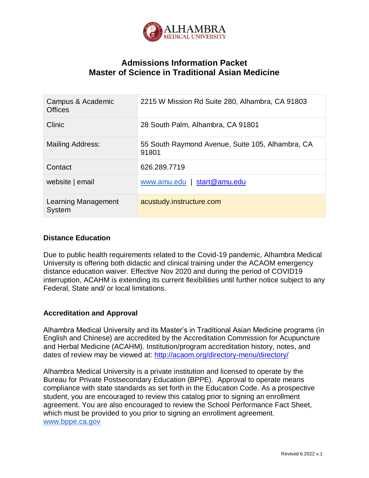

# **Admissions Information Packet Master of Science in Traditional Asian Medicine**

| Campus & Academic<br><b>Offices</b>  | 2215 W Mission Rd Suite 280, Alhambra, CA 91803           |
|--------------------------------------|-----------------------------------------------------------|
| Clinic                               | 28 South Palm, Alhambra, CA 91801                         |
| <b>Mailing Address:</b>              | 55 South Raymond Avenue, Suite 105, Alhambra, CA<br>91801 |
| Contact                              | 626.289.7719                                              |
| website   email                      | start@amu.edu<br>www.amu.edu                              |
| Learning Management<br><b>System</b> | acustudy.instructure.com                                  |

### **Distance Education**

Due to public health requirements related to the Covid-19 pandemic, Alhambra Medical University is offering both didactic and clinical training under the ACAOM emergency distance education waiver. Effective Nov 2020 and during the period of COVID19 interruption, ACAHM is extending its current flexibilities until further notice subject to any Federal, State and/ or local limitations.

## **Accreditation and Approval**

Alhambra Medical University and its Master's in Traditional Asian Medicine programs (in English and Chinese) are accredited by the Accreditation Commission for Acupuncture and Herbal Medicine (ACAHM). Institution/program accreditation history, notes, and dates of review may be viewed at:<http://acaom.org/directory-menu/directory/>

Alhambra Medical University is a private institution and licensed to operate by the Bureau for Private Postsecondary Education (BPPE). Approval to operate means compliance with state standards as set forth in the Education Code. As a prospective student, you are encouraged to review this catalog prior to signing an enrollment agreement. You are also encouraged to review the School Performance Fact Sheet, which must be provided to you prior to signing an enrollment agreement. [www.bppe.ca.gov](http://www.bppe.ca.gov/)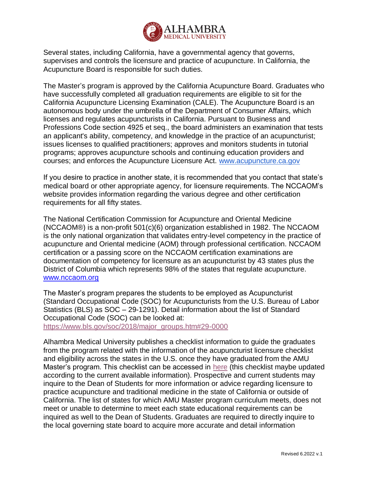

Several states, including California, have a governmental agency that governs, supervises and controls the licensure and practice of acupuncture. In California, the Acupuncture Board is responsible for such duties.

The Master's program is approved by the California Acupuncture Board. Graduates who have successfully completed all graduation requirements are eligible to sit for the California Acupuncture Licensing Examination (CALE). The Acupuncture Board is an autonomous body under the umbrella of the Department of Consumer Affairs, which licenses and regulates acupuncturists in California. Pursuant to Business and Professions Code section 4925 et seq., the board administers an examination that tests an applicant's ability, competency, and knowledge in the practice of an acupuncturist; issues licenses to qualified practitioners; approves and monitors students in tutorial programs; approves acupuncture schools and continuing education providers and courses; and enforces the Acupuncture Licensure Act. [www.acupuncture.ca.gov](http://www.acupuncture.ca.gov/)

If you desire to practice in another state, it is recommended that you contact that state's medical board or other appropriate agency, for licensure requirements. The NCCAOM's website provides information regarding the various degree and other certification requirements for all fifty states.

The National Certification Commission for Acupuncture and Oriental Medicine (NCCAOM®) is a non-profit 501(c)(6) organization established in 1982. The NCCAOM is the only national organization that validates entry-level competency in the practice of acupuncture and Oriental medicine (AOM) through professional certification. NCCAOM certification or a passing score on the NCCAOM certification examinations are documentation of competency for licensure as an acupuncturist by 43 states plus the District of Columbia which represents 98% of the states that regulate acupuncture. [www.nccaom.org](http://www.nccaom.org/)

The Master's program prepares the students to be employed as Acupuncturist (Standard Occupational Code (SOC) for Acupuncturists from the U.S. Bureau of Labor Statistics (BLS) as SOC – 29-1291). Detail information about the list of Standard Occupational Code (SOC) can be looked at:

[https://www.bls.gov/soc/2018/major\\_groups.htm#29-0000](https://www.bls.gov/soc/2018/major_groups.htm#29-0000)

Alhambra Medical University publishes a checklist information to guide the graduates from the program related with the information of the acupuncturist licensure checklist and eligibility across the states in the U.S. once they have graduated from the AMU Master's program. This checklist can be accessed in [here](https://drive.google.com/drive/folders/1hPy7kkMa2NZ_iN4X1IIPGPdkt6dznriD?usp=sharing) (this checklist maybe updated according to the current available information). Prospective and current students may inquire to the Dean of Students for more information or advice regarding licensure to practice acupuncture and traditional medicine in the state of California or outside of California. The list of states for which AMU Master program curriculum meets, does not meet or unable to determine to meet each state educational requirements can be inquired as well to the Dean of Students. Graduates are required to directly inquire to the local governing state board to acquire more accurate and detail information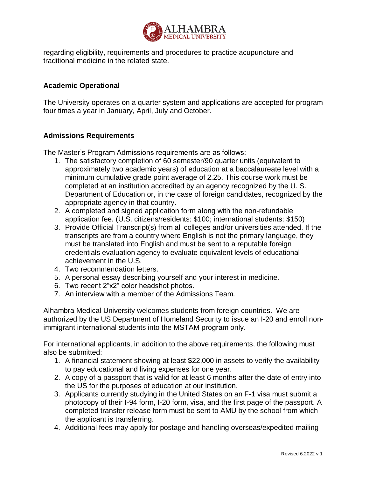

regarding eligibility, requirements and procedures to practice acupuncture and traditional medicine in the related state.

### **Academic Operational**

The University operates on a quarter system and applications are accepted for program four times a year in January, April, July and October.

#### **Admissions Requirements**

The Master's Program Admissions requirements are as follows:

- 1. The satisfactory completion of 60 semester/90 quarter units (equivalent to approximately two academic years) of education at a baccalaureate level with a minimum cumulative grade point average of 2.25. This course work must be completed at an institution accredited by an agency recognized by the U. S. Department of Education or, in the case of foreign candidates, recognized by the appropriate agency in that country.
- 2. A completed and signed application form along with the non-refundable application fee. (U.S. citizens/residents: \$100; international students: \$150)
- 3. Provide Official Transcript(s) from all colleges and/or universities attended. If the transcripts are from a country where English is not the primary language, they must be translated into English and must be sent to a reputable foreign credentials evaluation agency to evaluate equivalent levels of educational achievement in the U.S.
- 4. Two recommendation letters.
- 5. A personal essay describing yourself and your interest in medicine.
- 6. Two recent 2"x2" color headshot photos.
- 7. An interview with a member of the Admissions Team.

Alhambra Medical University welcomes students from foreign countries. We are authorized by the US Department of Homeland Security to issue an I-20 and enroll nonimmigrant international students into the MSTAM program only.

For international applicants, in addition to the above requirements, the following must also be submitted:

- 1. A financial statement showing at least \$22,000 in assets to verify the availability to pay educational and living expenses for one year.
- 2. A copy of a passport that is valid for at least 6 months after the date of entry into the US for the purposes of education at our institution.
- 3. Applicants currently studying in the United States on an F-1 visa must submit a photocopy of their I-94 form, I-20 form, visa, and the first page of the passport. A completed transfer release form must be sent to AMU by the school from which the applicant is transferring.
- 4. Additional fees may apply for postage and handling overseas/expedited mailing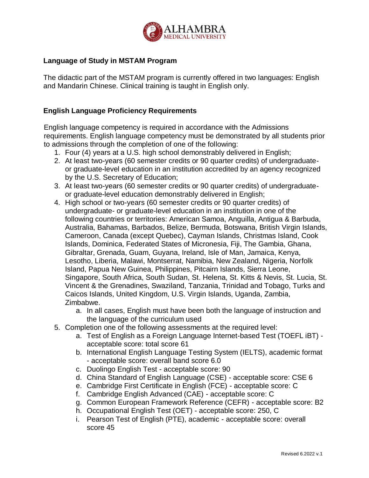

## **Language of Study in MSTAM Program**

The didactic part of the MSTAM program is currently offered in two languages: English and Mandarin Chinese. Clinical training is taught in English only.

## **English Language Proficiency Requirements**

English language competency is required in accordance with the Admissions requirements. English language competency must be demonstrated by all students prior to admissions through the completion of one of the following:

- 1. Four (4) years at a U.S. high school demonstrably delivered in English;
- 2. At least two-years (60 semester credits or 90 quarter credits) of undergraduateor graduate-level education in an institution accredited by an agency recognized by the U.S. Secretary of Education;
- 3. At least two-years (60 semester credits or 90 quarter credits) of undergraduateor graduate-level education demonstrably delivered in English;
- 4. High school or two-years (60 semester credits or 90 quarter credits) of undergraduate- or graduate-level education in an institution in one of the following countries or territories: American Samoa, Anguilla, Antigua & Barbuda, Australia, Bahamas, Barbados, Belize, Bermuda, Botswana, British Virgin Islands, Cameroon, Canada (except Quebec), Cayman Islands, Christmas Island, Cook Islands, Dominica, Federated States of Micronesia, Fiji, The Gambia, Ghana, Gibraltar, Grenada, Guam, Guyana, Ireland, Isle of Man, Jamaica, Kenya, Lesotho, Liberia, Malawi, Montserrat, Namibia, New Zealand, Nigeria, Norfolk Island, Papua New Guinea, Philippines, Pitcairn Islands, Sierra Leone, Singapore, South Africa, South Sudan, St. Helena, St. Kitts & Nevis, St. Lucia, St. Vincent & the Grenadines, Swaziland, Tanzania, Trinidad and Tobago, Turks and Caicos Islands, United Kingdom, U.S. Virgin Islands, Uganda, Zambia, Zimbabwe.
	- a. In all cases, English must have been both the language of instruction and the language of the curriculum used
- 5. Completion one of the following assessments at the required level:
	- a. Test of English as a Foreign Language Internet-based Test (TOEFL iBT) acceptable score: total score 61
	- b. International English Language Testing System (IELTS), academic format - acceptable score: overall band score 6.0
	- c. Duolingo English Test acceptable score: 90
	- d. China Standard of English Language (CSE) acceptable score: CSE 6
	- e. Cambridge First Certificate in English (FCE) acceptable score: C
	- f. Cambridge English Advanced (CAE) acceptable score: C
	- g. Common European Framework Reference (CEFR) acceptable score: B2
	- h. Occupational English Test (OET) acceptable score: 250, C
	- i. Pearson Test of English (PTE), academic acceptable score: overall score 45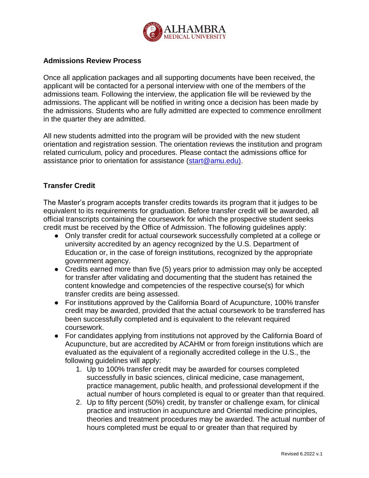

#### **Admissions Review Process**

Once all application packages and all supporting documents have been received, the applicant will be contacted for a personal interview with one of the members of the admissions team. Following the interview, the application file will be reviewed by the admissions. The applicant will be notified in writing once a decision has been made by the admissions. Students who are fully admitted are expected to commence enrollment in the quarter they are admitted.

All new students admitted into the program will be provided with the new student orientation and registration session. The orientation reviews the institution and program related curriculum, policy and procedures. Please contact the admissions office for assistance prior to orientation for assistance [\(start@amu.edu\).](mailto:start@amu.edu))

#### **Transfer Credit**

The Master's program accepts transfer credits towards its program that it judges to be equivalent to its requirements for graduation. Before transfer credit will be awarded, all official transcripts containing the coursework for which the prospective student seeks credit must be received by the Office of Admission. The following guidelines apply:

- Only transfer credit for actual coursework successfully completed at a college or university accredited by an agency recognized by the U.S. Department of Education or, in the case of foreign institutions, recognized by the appropriate government agency.
- Credits earned more than five (5) years prior to admission may only be accepted for transfer after validating and documenting that the student has retained the content knowledge and competencies of the respective course(s) for which transfer credits are being assessed.
- For institutions approved by the California Board of Acupuncture, 100% transfer credit may be awarded, provided that the actual coursework to be transferred has been successfully completed and is equivalent to the relevant required coursework.
- For candidates applying from institutions not approved by the California Board of Acupuncture, but are accredited by ACAHM or from foreign institutions which are evaluated as the equivalent of a regionally accredited college in the U.S., the following guidelines will apply:
	- 1. Up to 100% transfer credit may be awarded for courses completed successfully in basic sciences, clinical medicine, case management, practice management, public health, and professional development if the actual number of hours completed is equal to or greater than that required.
	- 2. Up to fifty percent (50%) credit, by transfer or challenge exam, for clinical practice and instruction in acupuncture and Oriental medicine principles, theories and treatment procedures may be awarded. The actual number of hours completed must be equal to or greater than that required by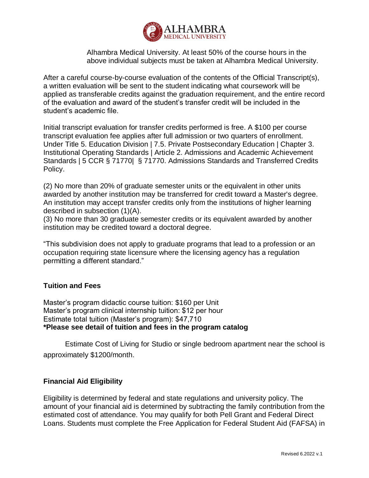

Alhambra Medical University. At least 50% of the course hours in the above individual subjects must be taken at Alhambra Medical University.

After a careful course-by-course evaluation of the contents of the Official Transcript(s), a written evaluation will be sent to the student indicating what coursework will be applied as transferable credits against the graduation requirement, and the entire record of the evaluation and award of the student's transfer credit will be included in the student's academic file.

Initial transcript evaluation for transfer credits performed is free. A \$100 per course transcript evaluation fee applies after full admission or two quarters of enrollment. Under Title 5. Education Division | 7.5. Private Postsecondary Education | Chapter 3. Institutional Operating Standards | Article 2. Admissions and Academic Achievement Standards | 5 CCR § 71770| § 71770. Admissions Standards and Transferred Credits Policy.

(2) No more than 20% of graduate semester units or the equivalent in other units awarded by another institution may be transferred for credit toward a Master's degree. An institution may accept transfer credits only from the institutions of higher learning described in subsection (1)(A).

(3) No more than 30 graduate semester credits or its equivalent awarded by another institution may be credited toward a doctoral degree.

"This subdivision does not apply to graduate programs that lead to a profession or an occupation requiring state licensure where the licensing agency has a regulation permitting a different standard."

## **Tuition and Fees**

Master's program didactic course tuition: \$160 per Unit Master's program clinical internship tuition: \$12 per hour Estimate total tuition (Master's program): \$47,710 **\*Please see detail of tuition and fees in the program catalog**

Estimate Cost of Living for Studio or single bedroom apartment near the school is approximately \$1200/month.

#### **Financial Aid Eligibility**

Eligibility is determined by federal and state regulations and university policy. The amount of your financial aid is determined by subtracting the family contribution from the estimated cost of attendance. You may qualify for both Pell Grant and Federal Direct Loans. Students must complete the Free Application for Federal Student Aid (FAFSA) in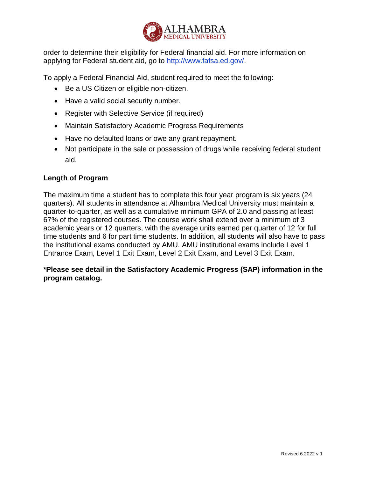

order to determine their eligibility for Federal financial aid. For more information on applying for Federal student aid, go to http://www.fafsa.ed.gov/.

To apply a Federal Financial Aid, student required to meet the following:

- Be a US Citizen or eligible non-citizen.
- Have a valid social security number.
- Register with Selective Service (if required)
- Maintain Satisfactory Academic Progress Requirements
- Have no defaulted loans or owe any grant repayment.
- Not participate in the sale or possession of drugs while receiving federal student aid.

## **Length of Program**

The maximum time a student has to complete this four year program is six years (24 quarters). All students in attendance at Alhambra Medical University must maintain a quarter-to-quarter, as well as a cumulative minimum GPA of 2.0 and passing at least 67% of the registered courses. The course work shall extend over a minimum of 3 academic years or 12 quarters, with the average units earned per quarter of 12 for full time students and 6 for part time students. In addition, all students will also have to pass the institutional exams conducted by AMU. AMU institutional exams include Level 1 Entrance Exam, Level 1 Exit Exam, Level 2 Exit Exam, and Level 3 Exit Exam.

**\*Please see detail in the Satisfactory Academic Progress (SAP) information in the program catalog.**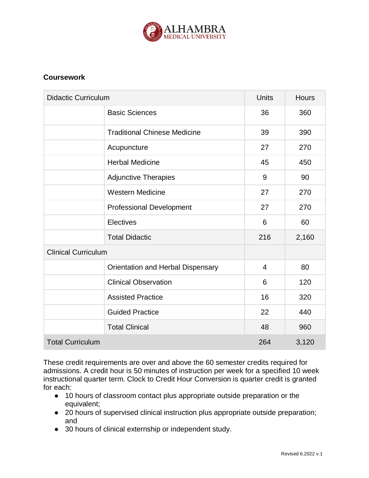

## **Coursework**

| <b>Didactic Curriculum</b> |                                     | <b>Units</b>   | <b>Hours</b> |
|----------------------------|-------------------------------------|----------------|--------------|
|                            | <b>Basic Sciences</b>               | 36             | 360          |
|                            | <b>Traditional Chinese Medicine</b> | 39             | 390          |
|                            | Acupuncture                         | 27             | 270          |
|                            | <b>Herbal Medicine</b>              | 45             | 450          |
|                            | <b>Adjunctive Therapies</b>         | 9              | 90           |
|                            | <b>Western Medicine</b>             | 27             | 270          |
|                            | <b>Professional Development</b>     | 27             | 270          |
|                            | Electives                           | 6              | 60           |
|                            | <b>Total Didactic</b>               | 216            | 2,160        |
| <b>Clinical Curriculum</b> |                                     |                |              |
|                            | Orientation and Herbal Dispensary   | $\overline{4}$ | 80           |
|                            | <b>Clinical Observation</b>         | 6              | 120          |
|                            | <b>Assisted Practice</b>            | 16             | 320          |
|                            | <b>Guided Practice</b>              | 22             | 440          |
|                            | <b>Total Clinical</b>               | 48             | 960          |
| <b>Total Curriculum</b>    |                                     | 264            | 3,120        |

These credit requirements are over and above the 60 semester credits required for admissions. A credit hour is 50 minutes of instruction per week for a specified 10 week instructional quarter term. Clock to Credit Hour Conversion is quarter credit is granted for each:

- 10 hours of classroom contact plus appropriate outside preparation or the equivalent;
- 20 hours of supervised clinical instruction plus appropriate outside preparation; and
- 30 hours of clinical externship or independent study.